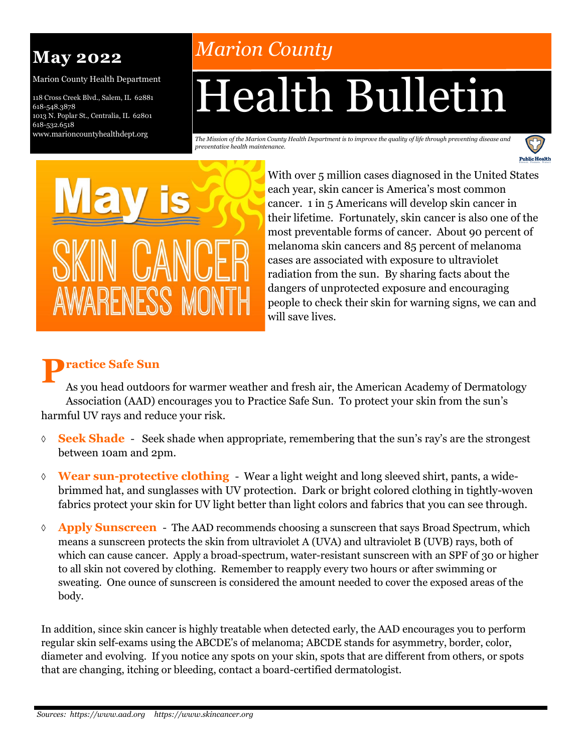# **May 2022**

Marion County Health Department

118 Cross Creek Blvd., Salem, IL 62881 618-548.3878 1013 N. Poplar St., Centralia, IL 62801 618-532.6518 www.marioncountyhealthdept.org

# *Marion County*

# Health Bulletin

*The Mission of the Marion County Health Department is to improve the quality of life through preventing disease and preventative health maintenance.* 



With over 5 million cases diagnosed in the United States each year, skin cancer is America's most common cancer. 1 in 5 Americans will develop skin cancer in their lifetime. Fortunately, skin cancer is also one of the most preventable forms of cancer. About 90 percent of melanoma skin cancers and 85 percent of melanoma cases are associated with exposure to ultraviolet radiation from the sun. By sharing facts about the dangers of unprotected exposure and encouraging people to check their skin for warning signs, we can and will save lives.

**Public Health** 

## **P ractice Safe Sun**

As you head outdoors for warmer weather and fresh air, the American Academy of Dermatology Association (AAD) encourages you to Practice Safe Sun. To protect your skin from the sun's harmful UV rays and reduce your risk.

- **Seek Shade**  Seek shade when appropriate, remembering that the sun's ray's are the strongest between 10am and 2pm.
- **Wear sun-protective clothing**  Wear a light weight and long sleeved shirt, pants, a widebrimmed hat, and sunglasses with UV protection. Dark or bright colored clothing in tightly-woven fabrics protect your skin for UV light better than light colors and fabrics that you can see through.
- **Apply Sunscreen**  The AAD recommends choosing a sunscreen that says Broad Spectrum, which means a sunscreen protects the skin from ultraviolet A (UVA) and ultraviolet B (UVB) rays, both of which can cause cancer. Apply a broad-spectrum, water-resistant sunscreen with an SPF of 30 or higher to all skin not covered by clothing. Remember to reapply every two hours or after swimming or sweating. One ounce of sunscreen is considered the amount needed to cover the exposed areas of the body.

In addition, since skin cancer is highly treatable when detected early, the AAD encourages you to perform regular skin self-exams using the ABCDE's of melanoma; ABCDE stands for asymmetry, border, color, diameter and evolving. If you notice any spots on your skin, spots that are different from others, or spots that are changing, itching or bleeding, contact a board-certified dermatologist.